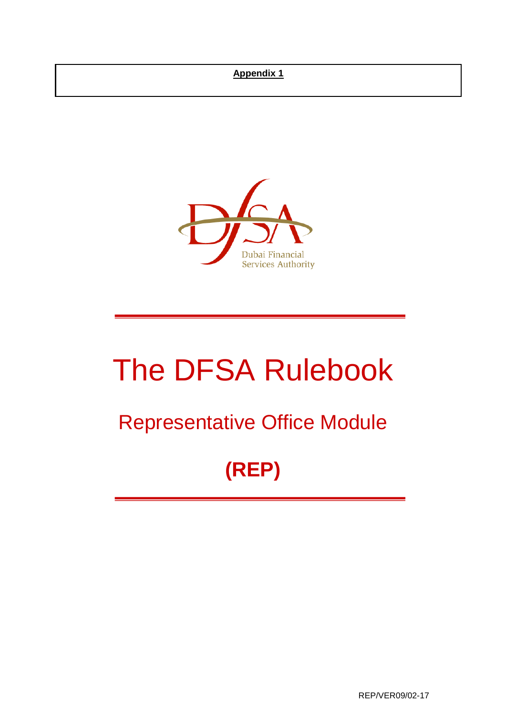## **Appendix 1**



# The DFSA Rulebook

## Representative Office Module

## **(REP)**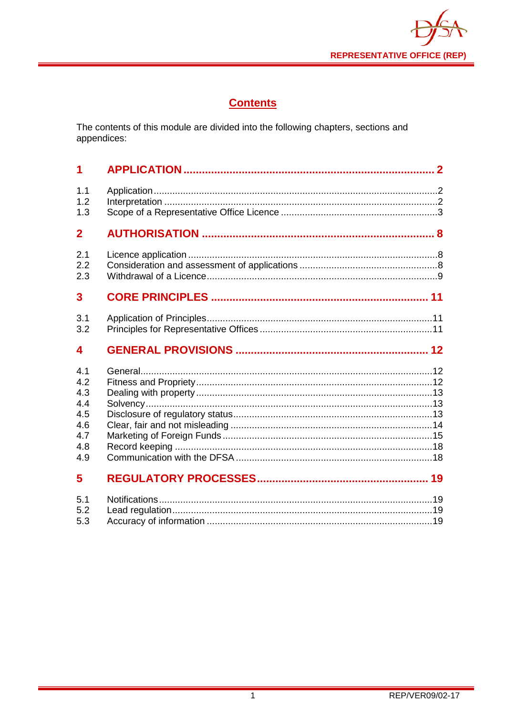

## **Contents**

The contents of this module are divided into the following chapters, sections and appendices:

| 1                                                           |  |
|-------------------------------------------------------------|--|
| 1.1<br>1.2<br>1.3                                           |  |
| $\overline{2}$                                              |  |
| 2.1<br>2.2<br>2.3                                           |  |
| 3                                                           |  |
| 3.1<br>3.2                                                  |  |
| 4                                                           |  |
| 4.1<br>4.2<br>4.3<br>4.4<br>4.5<br>4.6<br>4.7<br>4.8<br>4.9 |  |
| 5                                                           |  |
| 5.1<br>5.2<br>5.3                                           |  |

 $\overline{1}$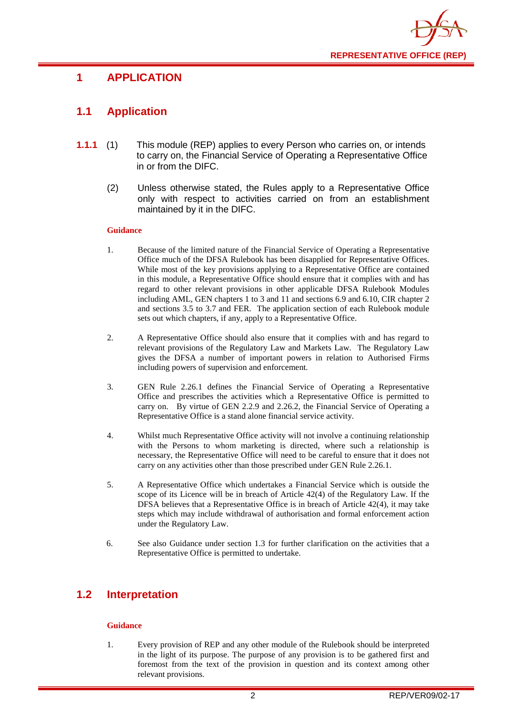

## <span id="page-2-0"></span>**1 APPLICATION**

## <span id="page-2-1"></span>**1.1 Application**

- **1.1.1** (1) This module (REP) applies to every Person who carries on, or intends to carry on, the Financial Service of Operating a Representative Office in or from the DIFC.
	- (2) Unless otherwise stated, the Rules apply to a Representative Office only with respect to activities carried on from an establishment maintained by it in the DIFC.

#### **Guidance**

- 1. Because of the limited nature of the Financial Service of Operating a Representative Office much of the DFSA Rulebook has been disapplied for Representative Offices. While most of the key provisions applying to a Representative Office are contained in this module, a Representative Office should ensure that it complies with and has regard to other relevant provisions in other applicable DFSA Rulebook Modules including AML, GEN chapters 1 to 3 and 11 and sections 6.9 and 6.10, CIR chapter 2 and sections 3.5 to 3.7 and FER. The application section of each Rulebook module sets out which chapters, if any, apply to a Representative Office.
- 2. A Representative Office should also ensure that it complies with and has regard to relevant provisions of the Regulatory Law and Markets Law. The Regulatory Law gives the DFSA a number of important powers in relation to Authorised Firms including powers of supervision and enforcement.
- 3. GEN Rule 2.26.1 defines the Financial Service of Operating a Representative Office and prescribes the activities which a Representative Office is permitted to carry on. By virtue of GEN 2.2.9 and 2.26.2, the Financial Service of Operating a Representative Office is a stand alone financial service activity.
- 4. Whilst much Representative Office activity will not involve a continuing relationship with the Persons to whom marketing is directed, where such a relationship is necessary, the Representative Office will need to be careful to ensure that it does not carry on any activities other than those prescribed under GEN Rule 2.26.1.
- 5. A Representative Office which undertakes a Financial Service which is outside the scope of its Licence will be in breach of Article 42(4) of the Regulatory Law. If the DFSA believes that a Representative Office is in breach of Article 42(4), it may take steps which may include withdrawal of authorisation and formal enforcement action under the Regulatory Law.
- 6. See also Guidance under section 1.3 for further clarification on the activities that a Representative Office is permitted to undertake.

## <span id="page-2-2"></span>**1.2 Interpretation**

#### **Guidance**

1. Every provision of REP and any other module of the Rulebook should be interpreted in the light of its purpose. The purpose of any provision is to be gathered first and foremost from the text of the provision in question and its context among other relevant provisions.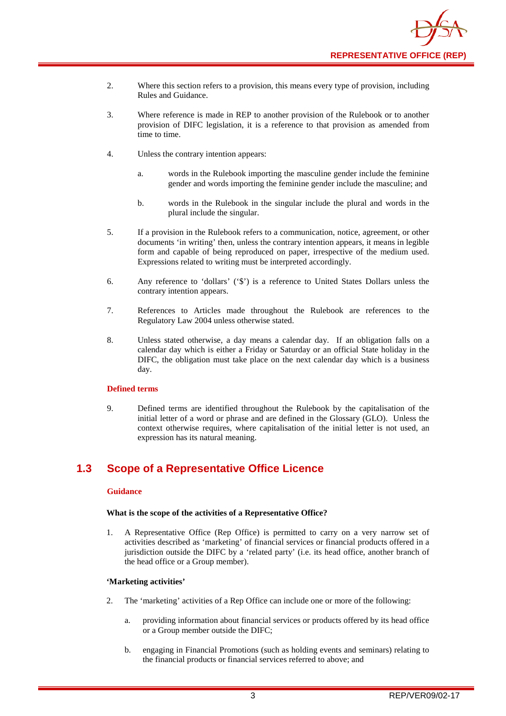- 2. Where this section refers to a provision, this means every type of provision, including Rules and Guidance.
- 3. Where reference is made in REP to another provision of the Rulebook or to another provision of DIFC legislation, it is a reference to that provision as amended from time to time.
- 4. Unless the contrary intention appears:
	- a. words in the Rulebook importing the masculine gender include the feminine gender and words importing the feminine gender include the masculine; and
	- b. words in the Rulebook in the singular include the plural and words in the plural include the singular.
- 5. If a provision in the Rulebook refers to a communication, notice, agreement, or other documents 'in writing' then, unless the contrary intention appears, it means in legible form and capable of being reproduced on paper, irrespective of the medium used. Expressions related to writing must be interpreted accordingly.
- 6. Any reference to 'dollars' ('\$') is a reference to United States Dollars unless the contrary intention appears.
- 7. References to Articles made throughout the Rulebook are references to the Regulatory Law 2004 unless otherwise stated.
- 8. Unless stated otherwise, a day means a calendar day. If an obligation falls on a calendar day which is either a Friday or Saturday or an official State holiday in the DIFC, the obligation must take place on the next calendar day which is a business day.

#### **Defined terms**

9. Defined terms are identified throughout the Rulebook by the capitalisation of the initial letter of a word or phrase and are defined in the Glossary (GLO). Unless the context otherwise requires, where capitalisation of the initial letter is not used, an expression has its natural meaning.

## <span id="page-3-0"></span>**1.3 Scope of a Representative Office Licence**

#### **Guidance**

#### **What is the scope of the activities of a Representative Office?**

1. A Representative Office (Rep Office) is permitted to carry on a very narrow set of activities described as 'marketing' of financial services or financial products offered in a jurisdiction outside the DIFC by a 'related party' (i.e. its head office, another branch of the head office or a Group member).

#### **'Marketing activities'**

- 2. The 'marketing' activities of a Rep Office can include one or more of the following:
	- a. providing information about financial services or products offered by its head office or a Group member outside the DIFC;
	- b. engaging in Financial Promotions (such as holding events and seminars) relating to the financial products or financial services referred to above; and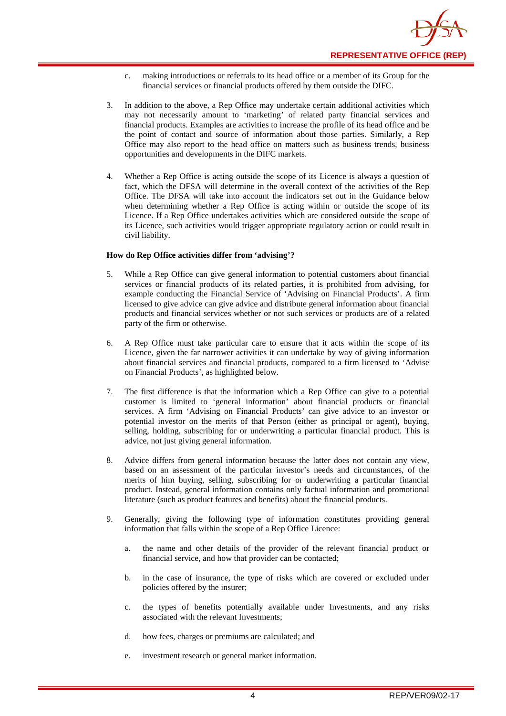

- c. making introductions or referrals to its head office or a member of its Group for the financial services or financial products offered by them outside the DIFC.
- 3. In addition to the above, a Rep Office may undertake certain additional activities which may not necessarily amount to 'marketing' of related party financial services and financial products. Examples are activities to increase the profile of its head office and be the point of contact and source of information about those parties. Similarly, a Rep Office may also report to the head office on matters such as business trends, business opportunities and developments in the DIFC markets.
- 4. Whether a Rep Office is acting outside the scope of its Licence is always a question of fact, which the DFSA will determine in the overall context of the activities of the Rep Office. The DFSA will take into account the indicators set out in the Guidance below when determining whether a Rep Office is acting within or outside the scope of its Licence. If a Rep Office undertakes activities which are considered outside the scope of its Licence, such activities would trigger appropriate regulatory action or could result in civil liability.

#### **How do Rep Office activities differ from 'advising'?**

- 5. While a Rep Office can give general information to potential customers about financial services or financial products of its related parties, it is prohibited from advising, for example conducting the Financial Service of 'Advising on Financial Products'. A firm licensed to give advice can give advice and distribute general information about financial products and financial services whether or not such services or products are of a related party of the firm or otherwise.
- 6. A Rep Office must take particular care to ensure that it acts within the scope of its Licence, given the far narrower activities it can undertake by way of giving information about financial services and financial products, compared to a firm licensed to 'Advise on Financial Products', as highlighted below.
- 7. The first difference is that the information which a Rep Office can give to a potential customer is limited to 'general information' about financial products or financial services. A firm 'Advising on Financial Products' can give advice to an investor or potential investor on the merits of that Person (either as principal or agent), buying, selling, holding, subscribing for or underwriting a particular financial product. This is advice, not just giving general information.
- 8. Advice differs from general information because the latter does not contain any view, based on an assessment of the particular investor's needs and circumstances, of the merits of him buying, selling, subscribing for or underwriting a particular financial product. Instead, general information contains only factual information and promotional literature (such as product features and benefits) about the financial products.
- 9. Generally, giving the following type of information constitutes providing general information that falls within the scope of a Rep Office Licence:
	- a. the name and other details of the provider of the relevant financial product or financial service, and how that provider can be contacted;
	- b. in the case of insurance, the type of risks which are covered or excluded under policies offered by the insurer;
	- c. the types of benefits potentially available under Investments, and any risks associated with the relevant Investments;
	- d. how fees, charges or premiums are calculated; and
	- e. investment research or general market information.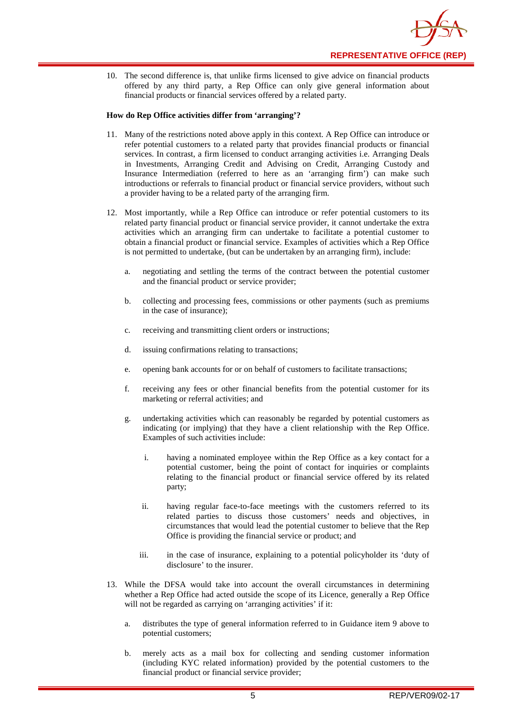

10. The second difference is, that unlike firms licensed to give advice on financial products offered by any third party, a Rep Office can only give general information about financial products or financial services offered by a related party.

#### **How do Rep Office activities differ from 'arranging'?**

- 11. Many of the restrictions noted above apply in this context. A Rep Office can introduce or refer potential customers to a related party that provides financial products or financial services. In contrast, a firm licensed to conduct arranging activities i.e. Arranging Deals in Investments, Arranging Credit and Advising on Credit, Arranging Custody and Insurance Intermediation (referred to here as an 'arranging firm') can make such introductions or referrals to financial product or financial service providers, without such a provider having to be a related party of the arranging firm.
- 12. Most importantly, while a Rep Office can introduce or refer potential customers to its related party financial product or financial service provider, it cannot undertake the extra activities which an arranging firm can undertake to facilitate a potential customer to obtain a financial product or financial service. Examples of activities which a Rep Office is not permitted to undertake, (but can be undertaken by an arranging firm), include:
	- a. negotiating and settling the terms of the contract between the potential customer and the financial product or service provider;
	- b. collecting and processing fees, commissions or other payments (such as premiums in the case of insurance);
	- c. receiving and transmitting client orders or instructions;
	- d. issuing confirmations relating to transactions;
	- e. opening bank accounts for or on behalf of customers to facilitate transactions;
	- f. receiving any fees or other financial benefits from the potential customer for its marketing or referral activities; and
	- g. undertaking activities which can reasonably be regarded by potential customers as indicating (or implying) that they have a client relationship with the Rep Office. Examples of such activities include:
		- i. having a nominated employee within the Rep Office as a key contact for a potential customer, being the point of contact for inquiries or complaints relating to the financial product or financial service offered by its related party;
		- ii. having regular face-to-face meetings with the customers referred to its related parties to discuss those customers' needs and objectives, in circumstances that would lead the potential customer to believe that the Rep Office is providing the financial service or product; and
		- iii. in the case of insurance, explaining to a potential policyholder its 'duty of disclosure' to the insurer.
- 13. While the DFSA would take into account the overall circumstances in determining whether a Rep Office had acted outside the scope of its Licence, generally a Rep Office will not be regarded as carrying on 'arranging activities' if it:
	- a. distributes the type of general information referred to in Guidance item 9 above to potential customers;
	- b. merely acts as a mail box for collecting and sending customer information (including KYC related information) provided by the potential customers to the financial product or financial service provider;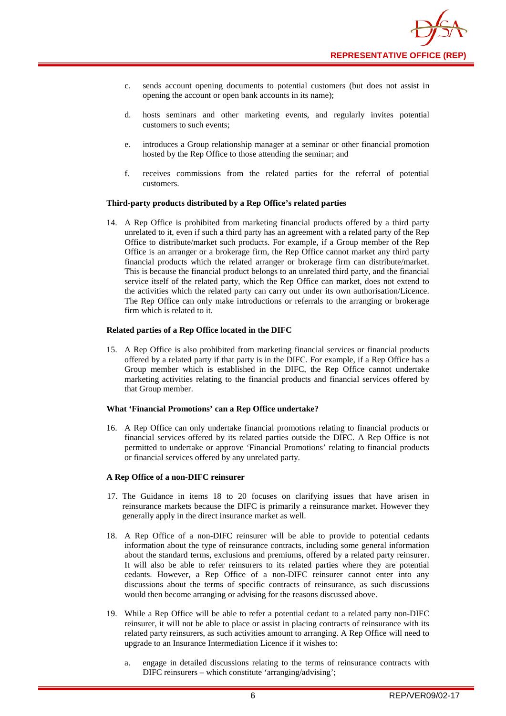- c. sends account opening documents to potential customers (but does not assist in opening the account or open bank accounts in its name);
- d. hosts seminars and other marketing events, and regularly invites potential customers to such events;
- e. introduces a Group relationship manager at a seminar or other financial promotion hosted by the Rep Office to those attending the seminar; and
- f. receives commissions from the related parties for the referral of potential customers.

#### **Third-party products distributed by a Rep Office's related parties**

14. A Rep Office is prohibited from marketing financial products offered by a third party unrelated to it, even if such a third party has an agreement with a related party of the Rep Office to distribute/market such products. For example, if a Group member of the Rep Office is an arranger or a brokerage firm, the Rep Office cannot market any third party financial products which the related arranger or brokerage firm can distribute/market. This is because the financial product belongs to an unrelated third party, and the financial service itself of the related party, which the Rep Office can market, does not extend to the activities which the related party can carry out under its own authorisation/Licence. The Rep Office can only make introductions or referrals to the arranging or brokerage firm which is related to it.

#### **Related parties of a Rep Office located in the DIFC**

15. A Rep Office is also prohibited from marketing financial services or financial products offered by a related party if that party is in the DIFC. For example, if a Rep Office has a Group member which is established in the DIFC, the Rep Office cannot undertake marketing activities relating to the financial products and financial services offered by that Group member.

#### **What 'Financial Promotions' can a Rep Office undertake?**

16. A Rep Office can only undertake financial promotions relating to financial products or financial services offered by its related parties outside the DIFC. A Rep Office is not permitted to undertake or approve 'Financial Promotions' relating to financial products or financial services offered by any unrelated party.

#### **A Rep Office of a non-DIFC reinsurer**

- 17. The Guidance in items 18 to 20 focuses on clarifying issues that have arisen in reinsurance markets because the DIFC is primarily a reinsurance market. However they generally apply in the direct insurance market as well.
- 18. A Rep Office of a non-DIFC reinsurer will be able to provide to potential cedants information about the type of reinsurance contracts, including some general information about the standard terms, exclusions and premiums, offered by a related party reinsurer. It will also be able to refer reinsurers to its related parties where they are potential cedants. However, a Rep Office of a non-DIFC reinsurer cannot enter into any discussions about the terms of specific contracts of reinsurance, as such discussions would then become arranging or advising for the reasons discussed above.
- 19. While a Rep Office will be able to refer a potential cedant to a related party non-DIFC reinsurer, it will not be able to place or assist in placing contracts of reinsurance with its related party reinsurers, as such activities amount to arranging. A Rep Office will need to upgrade to an Insurance Intermediation Licence if it wishes to:
	- a. engage in detailed discussions relating to the terms of reinsurance contracts with DIFC reinsurers – which constitute 'arranging/advising';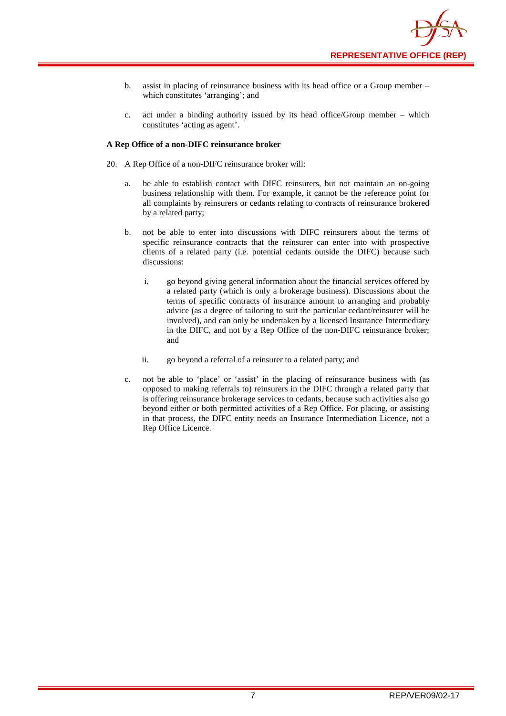- b. assist in placing of reinsurance business with its head office or a Group member which constitutes 'arranging'; and
- c. act under a binding authority issued by its head office/Group member which constitutes 'acting as agent'.

#### **A Rep Office of a non-DIFC reinsurance broker**

- 20. A Rep Office of a non-DIFC reinsurance broker will:
	- a. be able to establish contact with DIFC reinsurers, but not maintain an on-going business relationship with them. For example, it cannot be the reference point for all complaints by reinsurers or cedants relating to contracts of reinsurance brokered by a related party;
	- b. not be able to enter into discussions with DIFC reinsurers about the terms of specific reinsurance contracts that the reinsurer can enter into with prospective clients of a related party (i.e. potential cedants outside the DIFC) because such discussions:
		- i. go beyond giving general information about the financial services offered by a related party (which is only a brokerage business). Discussions about the terms of specific contracts of insurance amount to arranging and probably advice (as a degree of tailoring to suit the particular cedant/reinsurer will be involved), and can only be undertaken by a licensed Insurance Intermediary in the DIFC, and not by a Rep Office of the non-DIFC reinsurance broker; and
		- ii. go beyond a referral of a reinsurer to a related party; and
	- c. not be able to 'place' or 'assist' in the placing of reinsurance business with (as opposed to making referrals to) reinsurers in the DIFC through a related party that is offering reinsurance brokerage services to cedants, because such activities also go beyond either or both permitted activities of a Rep Office. For placing, or assisting in that process, the DIFC entity needs an Insurance Intermediation Licence, not a Rep Office Licence.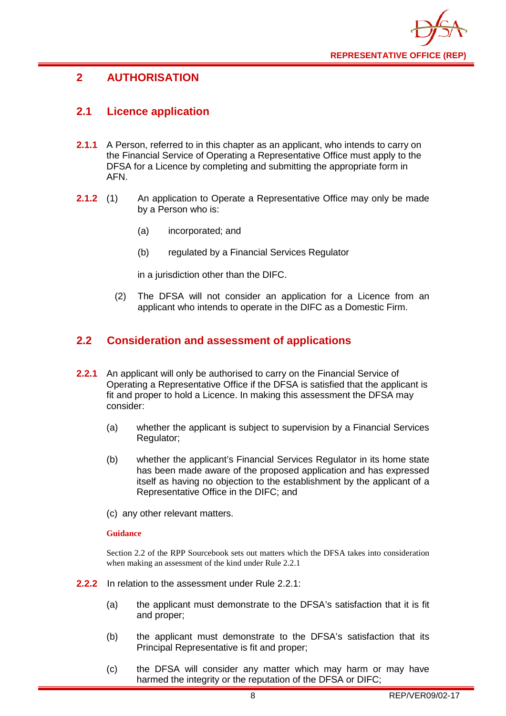

## <span id="page-8-0"></span>**2 AUTHORISATION**

## <span id="page-8-1"></span>**2.1 Licence application**

- **2.1.1** A Person, referred to in this chapter as an applicant, who intends to carry on the Financial Service of Operating a Representative Office must apply to the DFSA for a Licence by completing and submitting the appropriate form in AFN.
- **2.1.2** (1) An application to Operate a Representative Office may only be made by a Person who is:
	- (a) incorporated; and
	- (b) regulated by a Financial Services Regulator

in a jurisdiction other than the DIFC.

(2) The DFSA will not consider an application for a Licence from an applicant who intends to operate in the DIFC as a Domestic Firm.

## <span id="page-8-2"></span>**2.2 Consideration and assessment of applications**

- **2.2.1** An applicant will only be authorised to carry on the Financial Service of Operating a Representative Office if the DFSA is satisfied that the applicant is fit and proper to hold a Licence. In making this assessment the DFSA may consider:
	- (a) whether the applicant is subject to supervision by a Financial Services Regulator;
	- (b) whether the applicant's Financial Services Regulator in its home state has been made aware of the proposed application and has expressed itself as having no objection to the establishment by the applicant of a Representative Office in the DIFC; and
	- (c) any other relevant matters.

#### **Guidance**

Section 2.2 of the RPP Sourcebook sets out matters which the DFSA takes into consideration when making an assessment of the kind under Rule 2.2.1

- **2.2.2** In relation to the assessment under Rule 2.2.1:
	- (a) the applicant must demonstrate to the DFSA's satisfaction that it is fit and proper;
	- (b) the applicant must demonstrate to the DFSA's satisfaction that its Principal Representative is fit and proper;
	- (c) the DFSA will consider any matter which may harm or may have harmed the integrity or the reputation of the DFSA or DIFC;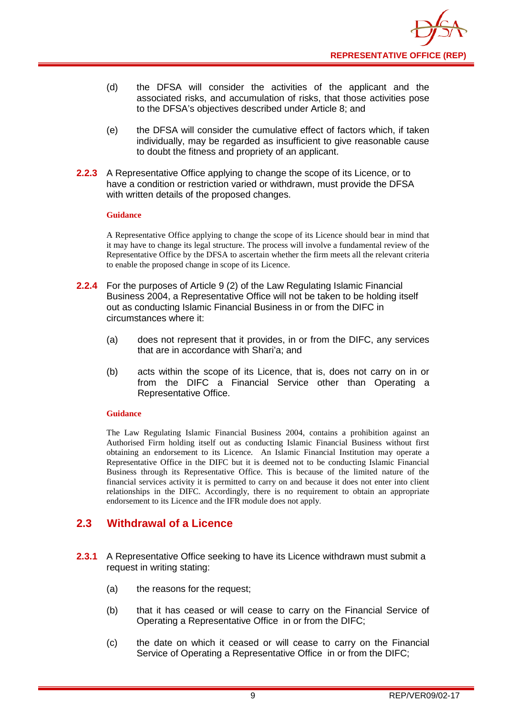- (d) the DFSA will consider the activities of the applicant and the associated risks, and accumulation of risks, that those activities pose to the DFSA's objectives described under Article 8; and
- (e) the DFSA will consider the cumulative effect of factors which, if taken individually, may be regarded as insufficient to give reasonable cause to doubt the fitness and propriety of an applicant.
- **2.2.3** A Representative Office applying to change the scope of its Licence, or to have a condition or restriction varied or withdrawn, must provide the DFSA with written details of the proposed changes.

#### **Guidance**

A Representative Office applying to change the scope of its Licence should bear in mind that it may have to change its legal structure. The process will involve a fundamental review of the Representative Office by the DFSA to ascertain whether the firm meets all the relevant criteria to enable the proposed change in scope of its Licence.

- **2.2.4** For the purposes of Article 9 (2) of the Law Regulating Islamic Financial Business 2004, a Representative Office will not be taken to be holding itself out as conducting Islamic Financial Business in or from the DIFC in circumstances where it:
	- (a) does not represent that it provides, in or from the DIFC, any services that are in accordance with Shari'a; and
	- (b) acts within the scope of its Licence, that is, does not carry on in or from the DIFC a Financial Service other than Operating a Representative Office.

#### **Guidance**

The Law Regulating Islamic Financial Business 2004, contains a prohibition against an Authorised Firm holding itself out as conducting Islamic Financial Business without first obtaining an endorsement to its Licence. An Islamic Financial Institution may operate a Representative Office in the DIFC but it is deemed not to be conducting Islamic Financial Business through its Representative Office. This is because of the limited nature of the financial services activity it is permitted to carry on and because it does not enter into client relationships in the DIFC. Accordingly, there is no requirement to obtain an appropriate endorsement to its Licence and the IFR module does not apply.

## <span id="page-9-0"></span>**2.3 Withdrawal of a Licence**

- **2.3.1** A Representative Office seeking to have its Licence withdrawn must submit a request in writing stating:
	- (a) the reasons for the request;
	- (b) that it has ceased or will cease to carry on the Financial Service of Operating a Representative Office in or from the DIFC;
	- (c) the date on which it ceased or will cease to carry on the Financial Service of Operating a Representative Office in or from the DIFC;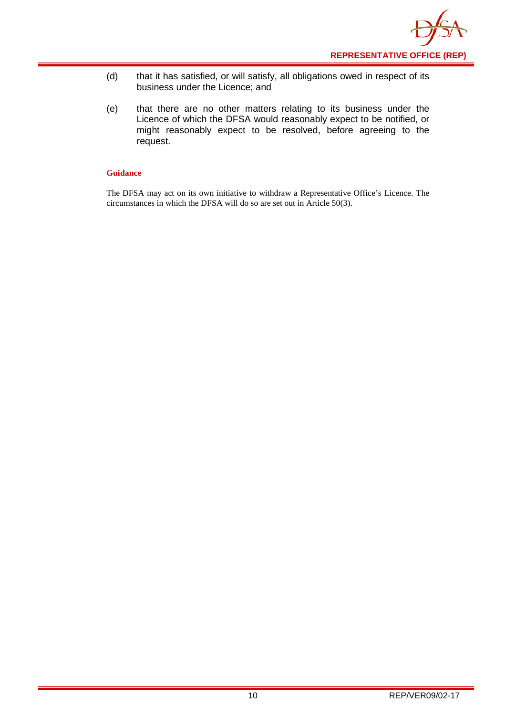

- (d) that it has satisfied, or will satisfy, all obligations owed in respect of its business under the Licence; and
- (e) that there are no other matters relating to its business under the Licence of which the DFSA would reasonably expect to be notified, or might reasonably expect to be resolved, before agreeing to the request.

#### **Guidance**

The DFSA may act on its own initiative to withdraw a Representative Office's Licence. The circumstances in which the DFSA will do so are set out in Article 50(3).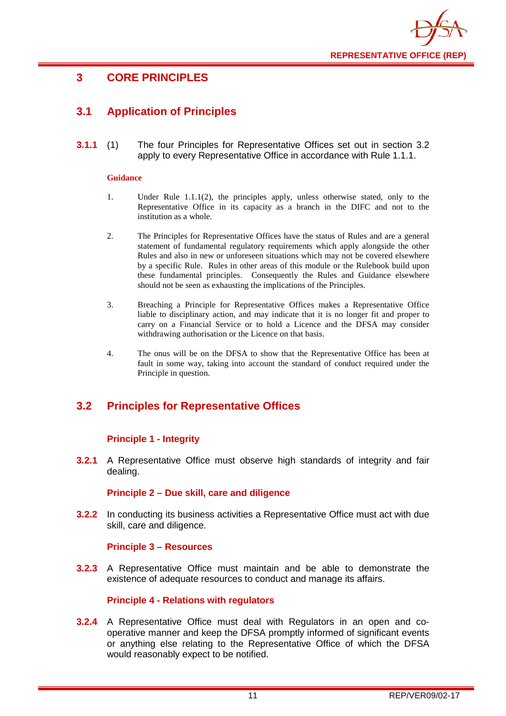

## <span id="page-11-0"></span>**3 CORE PRINCIPLES**

## <span id="page-11-1"></span>**3.1 Application of Principles**

**3.1.1** (1) The four Principles for Representative Offices set out in section 3.2 apply to every Representative Office in accordance with Rule 1.1.1.

#### **Guidance**

- 1. Under Rule 1.1.1(2), the principles apply, unless otherwise stated, only to the Representative Office in its capacity as a branch in the DIFC and not to the institution as a whole.
- 2. The Principles for Representative Offices have the status of Rules and are a general statement of fundamental regulatory requirements which apply alongside the other Rules and also in new or unforeseen situations which may not be covered elsewhere by a specific Rule. Rules in other areas of this module or the Rulebook build upon these fundamental principles. Consequently the Rules and Guidance elsewhere should not be seen as exhausting the implications of the Principles.
- 3. Breaching a Principle for Representative Offices makes a Representative Office liable to disciplinary action, and may indicate that it is no longer fit and proper to carry on a Financial Service or to hold a Licence and the DFSA may consider withdrawing authorisation or the Licence on that basis.
- 4. The onus will be on the DFSA to show that the Representative Office has been at fault in some way, taking into account the standard of conduct required under the Principle in question.

## <span id="page-11-2"></span>**3.2 Principles for Representative Offices**

### **Principle 1 - Integrity**

**3.2.1** A Representative Office must observe high standards of integrity and fair dealing.

#### **Principle 2 – Due skill, care and diligence**

**3.2.2** In conducting its business activities a Representative Office must act with due skill, care and diligence.

#### **Principle 3 – Resources**

**3.2.3** A Representative Office must maintain and be able to demonstrate the existence of adequate resources to conduct and manage its affairs.

#### **Principle 4 - Relations with regulators**

**3.2.4** A Representative Office must deal with Regulators in an open and cooperative manner and keep the DFSA promptly informed of significant events or anything else relating to the Representative Office of which the DFSA would reasonably expect to be notified.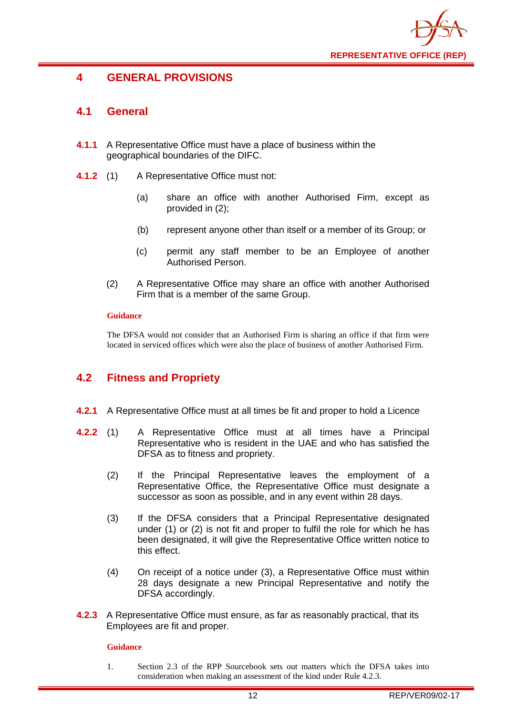

## <span id="page-12-0"></span>**4 GENERAL PROVISIONS**

## <span id="page-12-1"></span>**4.1 General**

- **4.1.1** A Representative Office must have a place of business within the geographical boundaries of the DIFC.
- **4.1.2** (1) A Representative Office must not:
	- (a) share an office with another Authorised Firm, except as provided in (2);
	- (b) represent anyone other than itself or a member of its Group; or
	- (c) permit any staff member to be an Employee of another Authorised Person.
	- (2) A Representative Office may share an office with another Authorised Firm that is a member of the same Group.

#### **Guidance**

The DFSA would not consider that an Authorised Firm is sharing an office if that firm were located in serviced offices which were also the place of business of another Authorised Firm.

## <span id="page-12-2"></span>**4.2 Fitness and Propriety**

- **4.2.1** A Representative Office must at all times be fit and proper to hold a Licence
- **4.2.2** (1) A Representative Office must at all times have a Principal Representative who is resident in the UAE and who has satisfied the DFSA as to fitness and propriety.
	- (2) If the Principal Representative leaves the employment of a Representative Office, the Representative Office must designate a successor as soon as possible, and in any event within 28 days.
	- (3) If the DFSA considers that a Principal Representative designated under (1) or (2) is not fit and proper to fulfil the role for which he has been designated, it will give the Representative Office written notice to this effect.
	- (4) On receipt of a notice under (3), a Representative Office must within 28 days designate a new Principal Representative and notify the DFSA accordingly.
- **4.2.3** A Representative Office must ensure, as far as reasonably practical, that its Employees are fit and proper.

#### **Guidance**

1. Section 2.3 of the RPP Sourcebook sets out matters which the DFSA takes into consideration when making an assessment of the kind under Rule 4.2.3.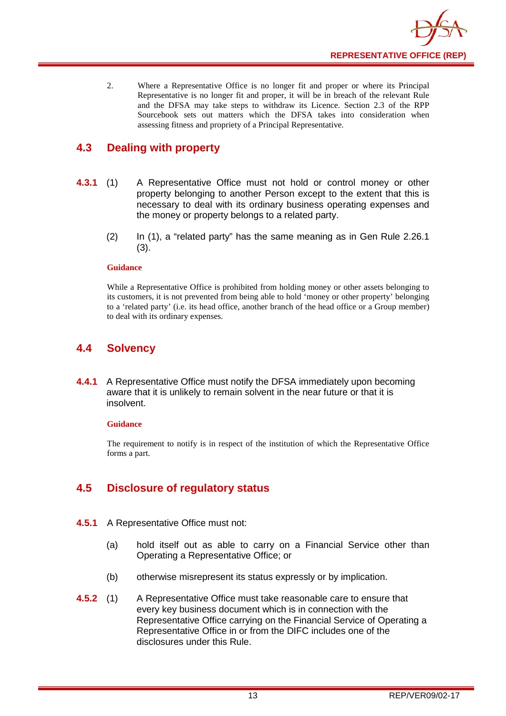2. Where a Representative Office is no longer fit and proper or where its Principal Representative is no longer fit and proper, it will be in breach of the relevant Rule and the DFSA may take steps to withdraw its Licence. Section 2.3 of the RPP Sourcebook sets out matters which the DFSA takes into consideration when assessing fitness and propriety of a Principal Representative.

## <span id="page-13-0"></span>**4.3 Dealing with property**

- **4.3.1** (1) A Representative Office must not hold or control money or other property belonging to another Person except to the extent that this is necessary to deal with its ordinary business operating expenses and the money or property belongs to a related party.
	- (2) In (1), a "related party" has the same meaning as in Gen Rule 2.26.1 (3).

#### **Guidance**

While a Representative Office is prohibited from holding money or other assets belonging to its customers, it is not prevented from being able to hold 'money or other property' belonging to a 'related party' (i.e. its head office, another branch of the head office or a Group member) to deal with its ordinary expenses.

## <span id="page-13-1"></span>**4.4 Solvency**

**4.4.1** A Representative Office must notify the DFSA immediately upon becoming aware that it is unlikely to remain solvent in the near future or that it is insolvent.

#### **Guidance**

The requirement to notify is in respect of the institution of which the Representative Office forms a part.

## <span id="page-13-2"></span>**4.5 Disclosure of regulatory status**

- **4.5.1** A Representative Office must not:
	- (a) hold itself out as able to carry on a Financial Service other than Operating a Representative Office; or
	- (b) otherwise misrepresent its status expressly or by implication.
- **4.5.2** (1) A Representative Office must take reasonable care to ensure that every key business document which is in connection with the Representative Office carrying on the Financial Service of Operating a Representative Office in or from the DIFC includes one of the disclosures under this Rule.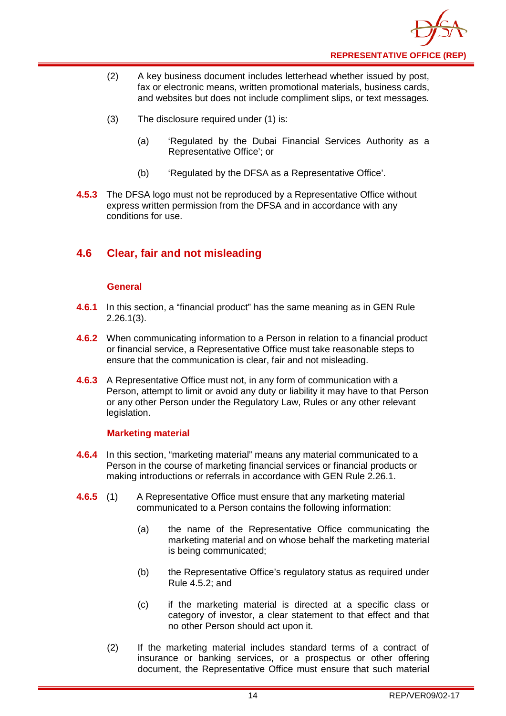- (2) A key business document includes letterhead whether issued by post, fax or electronic means, written promotional materials, business cards, and websites but does not include compliment slips, or text messages.
- (3) The disclosure required under (1) is:
	- (a) 'Regulated by the Dubai Financial Services Authority as a Representative Office'; or
	- (b) 'Regulated by the DFSA as a Representative Office'.
- **4.5.3** The DFSA logo must not be reproduced by a Representative Office without express written permission from the DFSA and in accordance with any conditions for use.

## <span id="page-14-0"></span>**4.6 Clear, fair and not misleading**

#### **General**

- **4.6.1** In this section, a "financial product" has the same meaning as in GEN Rule 2.26.1(3).
- **4.6.2** When communicating information to a Person in relation to a financial product or financial service, a Representative Office must take reasonable steps to ensure that the communication is clear, fair and not misleading.
- **4.6.3** A Representative Office must not, in any form of communication with a Person, attempt to limit or avoid any duty or liability it may have to that Person or any other Person under the Regulatory Law, Rules or any other relevant legislation.

### **Marketing material**

- **4.6.4** In this section, "marketing material" means any material communicated to a Person in the course of marketing financial services or financial products or making introductions or referrals in accordance with GEN Rule 2.26.1.
- **4.6.5** (1) A Representative Office must ensure that any marketing material communicated to a Person contains the following information:
	- (a) the name of the Representative Office communicating the marketing material and on whose behalf the marketing material is being communicated;
	- (b) the Representative Office's regulatory status as required under Rule 4.5.2; and
	- (c) if the marketing material is directed at a specific class or category of investor, a clear statement to that effect and that no other Person should act upon it.
	- (2) If the marketing material includes standard terms of a contract of insurance or banking services, or a prospectus or other offering document, the Representative Office must ensure that such material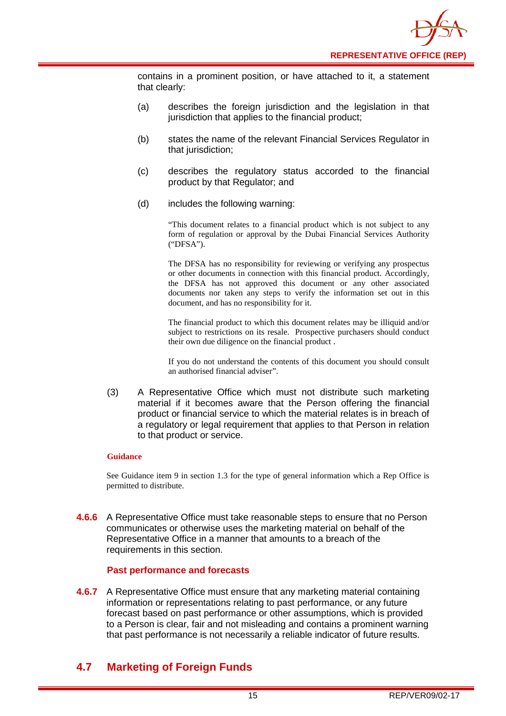contains in a prominent position, or have attached to it, a statement that clearly:

- (a) describes the foreign jurisdiction and the legislation in that jurisdiction that applies to the financial product:
- (b) states the name of the relevant Financial Services Regulator in that jurisdiction;
- (c) describes the regulatory status accorded to the financial product by that Regulator; and
- (d) includes the following warning:

"This document relates to a financial product which is not subject to any form of regulation or approval by the Dubai Financial Services Authority ("DFSA").

The DFSA has no responsibility for reviewing or verifying any prospectus or other documents in connection with this financial product. Accordingly, the DFSA has not approved this document or any other associated documents nor taken any steps to verify the information set out in this document, and has no responsibility for it.

The financial product to which this document relates may be illiquid and/or subject to restrictions on its resale. Prospective purchasers should conduct their own due diligence on the financial product .

If you do not understand the contents of this document you should consult an authorised financial adviser".

(3) A Representative Office which must not distribute such marketing material if it becomes aware that the Person offering the financial product or financial service to which the material relates is in breach of a regulatory or legal requirement that applies to that Person in relation to that product or service.

#### **Guidance**

See Guidance item 9 in section 1.3 for the type of general information which a Rep Office is permitted to distribute.

**4.6.6** A Representative Office must take reasonable steps to ensure that no Person communicates or otherwise uses the marketing material on behalf of the Representative Office in a manner that amounts to a breach of the requirements in this section.

#### **Past performance and forecasts**

**4.6.7** A Representative Office must ensure that any marketing material containing information or representations relating to past performance, or any future forecast based on past performance or other assumptions, which is provided to a Person is clear, fair and not misleading and contains a prominent warning that past performance is not necessarily a reliable indicator of future results.

## <span id="page-15-0"></span>**4.7 Marketing of Foreign Funds**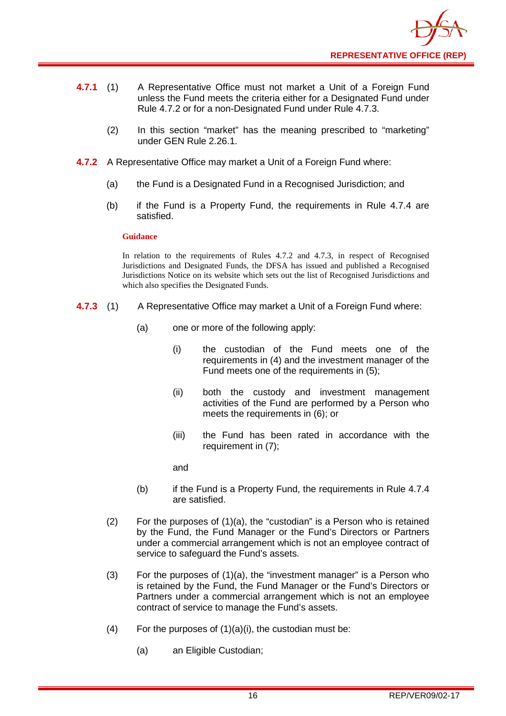- **4.7.1** (1) A Representative Office must not market a Unit of a Foreign Fund unless the Fund meets the criteria either for a Designated Fund under Rule 4.7.2 or for a non-Designated Fund under Rule 4.7.3.
	- (2) In this section "market" has the meaning prescribed to "marketing" under GEN Rule 2.26.1.
- **4.7.2** A Representative Office may market a Unit of a Foreign Fund where:
	- (a) the Fund is a Designated Fund in a Recognised Jurisdiction; and
	- (b) if the Fund is a Property Fund, the requirements in Rule 4.7.4 are satisfied.

#### **Guidance**

In relation to the requirements of Rules 4.7.2 and 4.7.3, in respect of Recognised Jurisdictions and Designated Funds, the DFSA has issued and published a Recognised Jurisdictions Notice on its website which sets out the list of Recognised Jurisdictions and which also specifies the Designated Funds.

- **4.7.3** (1) A Representative Office may market a Unit of a Foreign Fund where:
	- (a) one or more of the following apply:
		- (i) the custodian of the Fund meets one of the requirements in (4) and the investment manager of the Fund meets one of the requirements in (5);
		- (ii) both the custody and investment management activities of the Fund are performed by a Person who meets the requirements in (6); or
		- (iii) the Fund has been rated in accordance with the requirement in (7);

and

- (b) if the Fund is a Property Fund, the requirements in Rule 4.7.4 are satisfied.
- (2) For the purposes of (1)(a), the "custodian" is a Person who is retained by the Fund, the Fund Manager or the Fund's Directors or Partners under a commercial arrangement which is not an employee contract of service to safeguard the Fund's assets.
- (3) For the purposes of (1)(a), the "investment manager" is a Person who is retained by the Fund, the Fund Manager or the Fund's Directors or Partners under a commercial arrangement which is not an employee contract of service to manage the Fund's assets.
- (4) For the purposes of  $(1)(a)(i)$ , the custodian must be:
	- (a) an Eligible Custodian;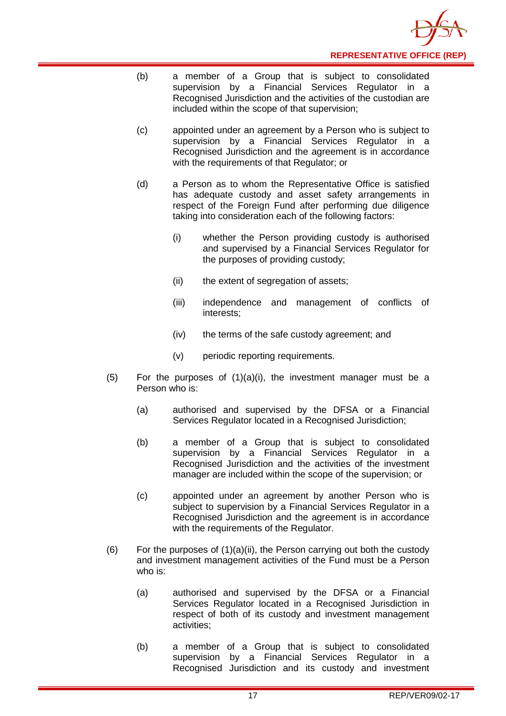- (b) a member of a Group that is subject to consolidated supervision by a Financial Services Regulator in a Recognised Jurisdiction and the activities of the custodian are included within the scope of that supervision;
- (c) appointed under an agreement by a Person who is subject to supervision by a Financial Services Regulator in a Recognised Jurisdiction and the agreement is in accordance with the requirements of that Regulator; or
- (d) a Person as to whom the Representative Office is satisfied has adequate custody and asset safety arrangements in respect of the Foreign Fund after performing due diligence taking into consideration each of the following factors:
	- (i) whether the Person providing custody is authorised and supervised by a Financial Services Regulator for the purposes of providing custody;
	- (ii) the extent of segregation of assets;
	- (iii) independence and management of conflicts of interests;
	- (iv) the terms of the safe custody agreement; and
	- (v) periodic reporting requirements.
- (5) For the purposes of  $(1)(a)(i)$ , the investment manager must be a Person who is:
	- (a) authorised and supervised by the DFSA or a Financial Services Regulator located in a Recognised Jurisdiction;
	- (b) a member of a Group that is subject to consolidated supervision by a Financial Services Regulator in a Recognised Jurisdiction and the activities of the investment manager are included within the scope of the supervision; or
	- (c) appointed under an agreement by another Person who is subject to supervision by a Financial Services Regulator in a Recognised Jurisdiction and the agreement is in accordance with the requirements of the Regulator.
- (6) For the purposes of  $(1)(a)(ii)$ , the Person carrying out both the custody and investment management activities of the Fund must be a Person who is:
	- (a) authorised and supervised by the DFSA or a Financial Services Regulator located in a Recognised Jurisdiction in respect of both of its custody and investment management activities;
	- (b) a member of a Group that is subject to consolidated supervision by a Financial Services Regulator in a Recognised Jurisdiction and its custody and investment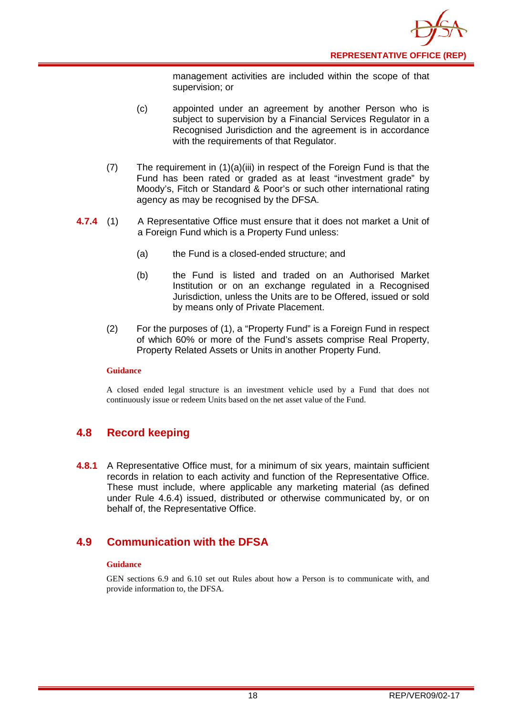

management activities are included within the scope of that supervision; or

- (c) appointed under an agreement by another Person who is subject to supervision by a Financial Services Regulator in a Recognised Jurisdiction and the agreement is in accordance with the requirements of that Regulator.
- (7) The requirement in (1)(a)(iii) in respect of the Foreign Fund is that the Fund has been rated or graded as at least "investment grade" by Moody's, Fitch or Standard & Poor's or such other international rating agency as may be recognised by the DFSA.
- **4.7.4** (1) A Representative Office must ensure that it does not market a Unit of a Foreign Fund which is a Property Fund unless:
	- (a) the Fund is a closed-ended structure; and
	- (b) the Fund is listed and traded on an Authorised Market Institution or on an exchange regulated in a Recognised Jurisdiction, unless the Units are to be Offered, issued or sold by means only of Private Placement.
	- (2) For the purposes of (1), a "Property Fund" is a Foreign Fund in respect of which 60% or more of the Fund's assets comprise Real Property, Property Related Assets or Units in another Property Fund.

#### **Guidance**

A closed ended legal structure is an investment vehicle used by a Fund that does not continuously issue or redeem Units based on the net asset value of the Fund.

## <span id="page-18-0"></span>**4.8 Record keeping**

**4.8.1** A Representative Office must, for a minimum of six years, maintain sufficient records in relation to each activity and function of the Representative Office. These must include, where applicable any marketing material (as defined under Rule 4.6.4) issued, distributed or otherwise communicated by, or on behalf of, the Representative Office.

## <span id="page-18-1"></span>**4.9 Communication with the DFSA**

#### **Guidance**

GEN sections 6.9 and 6.10 set out Rules about how a Person is to communicate with, and provide information to, the DFSA.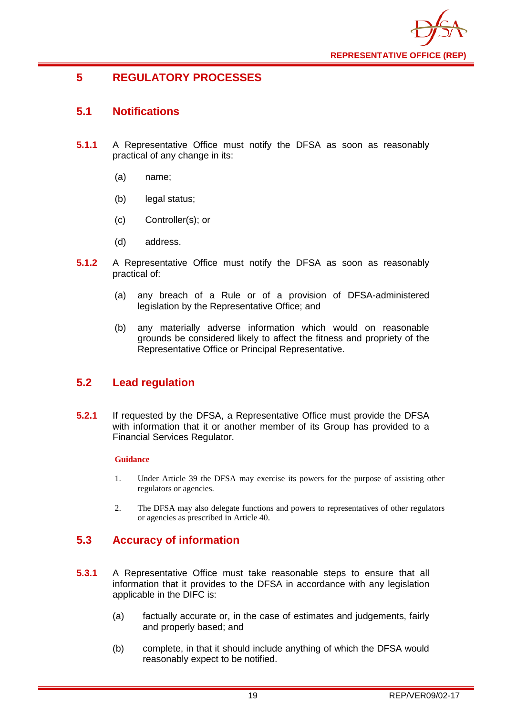

## <span id="page-19-0"></span>**5 REGULATORY PROCESSES**

## <span id="page-19-1"></span>**5.1 Notifications**

- **5.1.1** A Representative Office must notify the DFSA as soon as reasonably practical of any change in its:
	- (a) name;
	- (b) legal status;
	- (c) Controller(s); or
	- (d) address.
- **5.1.2** A Representative Office must notify the DFSA as soon as reasonably practical of:
	- (a) any breach of a Rule or of a provision of DFSA-administered legislation by the Representative Office; and
	- (b) any materially adverse information which would on reasonable grounds be considered likely to affect the fitness and propriety of the Representative Office or Principal Representative.

## <span id="page-19-2"></span>**5.2 Lead regulation**

**5.2.1** If requested by the DFSA, a Representative Office must provide the DFSA with information that it or another member of its Group has provided to a Financial Services Regulator.

#### **Guidance**

- 1. Under Article 39 the DFSA may exercise its powers for the purpose of assisting other regulators or agencies.
- 2. The DFSA may also delegate functions and powers to representatives of other regulators or agencies as prescribed in Article 40.

## <span id="page-19-3"></span>**5.3 Accuracy of information**

- **5.3.1** A Representative Office must take reasonable steps to ensure that all information that it provides to the DFSA in accordance with any legislation applicable in the DIFC is:
	- (a) factually accurate or, in the case of estimates and judgements, fairly and properly based; and
	- (b) complete, in that it should include anything of which the DFSA would reasonably expect to be notified.